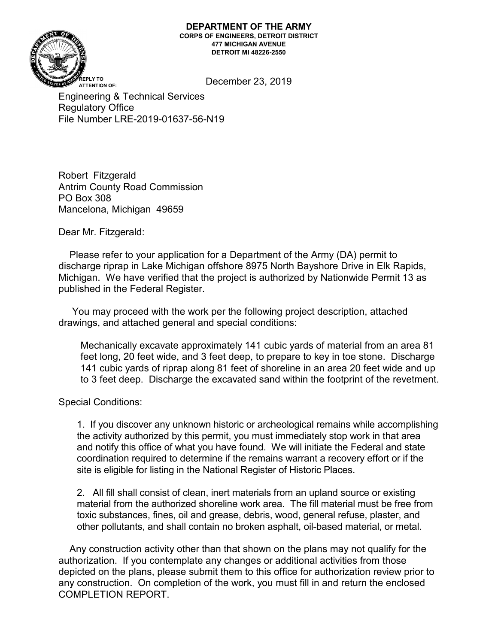#### **DEPARTMENT OF THE ARMY CORPS OF ENGINEERS, DETROIT DISTRICT 477 MICHIGAN AVENUE DETROIT MI 48226-2550**



December 23, 2019 **REPLY TO**

Engineering & Technical Services Regulatory Office File Number LRE-2019-01637-56-N19

Robert Fitzgerald Antrim County Road Commission PO Box 308 Mancelona, Michigan 49659

Dear Mr. Fitzgerald:

 Please refer to your application for a Department of the Army (DA) permit to discharge riprap in Lake Michigan offshore 8975 North Bayshore Drive in Elk Rapids, Michigan. We have verified that the project is authorized by Nationwide Permit 13 as published in the Federal Register.

 You may proceed with the work per the following project description, attached drawings, and attached general and special conditions:

Mechanically excavate approximately 141 cubic yards of material from an area 81 feet long, 20 feet wide, and 3 feet deep, to prepare to key in toe stone. Discharge 141 cubic yards of riprap along 81 feet of shoreline in an area 20 feet wide and up to 3 feet deep. Discharge the excavated sand within the footprint of the revetment.

Special Conditions:

1. If you discover any unknown historic or archeological remains while accomplishing the activity authorized by this permit, you must immediately stop work in that area and notify this office of what you have found. We will initiate the Federal and state coordination required to determine if the remains warrant a recovery effort or if the site is eligible for listing in the National Register of Historic Places.

2. All fill shall consist of clean, inert materials from an upland source or existing material from the authorized shoreline work area. The fill material must be free from toxic substances, fines, oil and grease, debris, wood, general refuse, plaster, and other pollutants, and shall contain no broken asphalt, oil-based material, or metal.

 Any construction activity other than that shown on the plans may not qualify for the authorization. If you contemplate any changes or additional activities from those depicted on the plans, please submit them to this office for authorization review prior to any construction. On completion of the work, you must fill in and return the enclosed COMPLETION REPORT.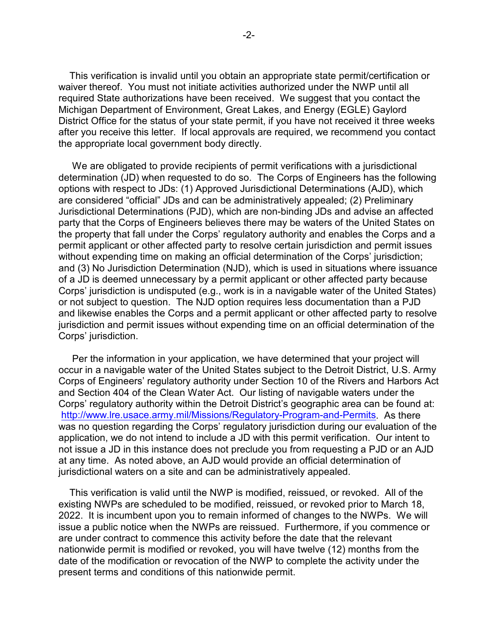This verification is invalid until you obtain an appropriate state permit/certification or waiver thereof. You must not initiate activities authorized under the NWP until all required State authorizations have been received. We suggest that you contact the Michigan Department of Environment, Great Lakes, and Energy (EGLE) Gaylord District Office for the status of your state permit, if you have not received it three weeks after you receive this letter. If local approvals are required, we recommend you contact the appropriate local government body directly.

 We are obligated to provide recipients of permit verifications with a jurisdictional determination (JD) when requested to do so. The Corps of Engineers has the following options with respect to JDs: (1) Approved Jurisdictional Determinations (AJD), which are considered "official" JDs and can be administratively appealed; (2) Preliminary Jurisdictional Determinations (PJD), which are non-binding JDs and advise an affected party that the Corps of Engineers believes there may be waters of the United States on the property that fall under the Corps' regulatory authority and enables the Corps and a permit applicant or other affected party to resolve certain jurisdiction and permit issues without expending time on making an official determination of the Corps' jurisdiction; and (3) No Jurisdiction Determination (NJD), which is used in situations where issuance of a JD is deemed unnecessary by a permit applicant or other affected party because Corps' jurisdiction is undisputed (e.g., work is in a navigable water of the United States) or not subject to question. The NJD option requires less documentation than a PJD and likewise enables the Corps and a permit applicant or other affected party to resolve jurisdiction and permit issues without expending time on an official determination of the Corps' jurisdiction.

 Per the information in your application, we have determined that your project will occur in a navigable water of the United States subject to the Detroit District, U.S. Army Corps of Engineers' regulatory authority under Section 10 of the Rivers and Harbors Act and Section 404 of the Clean Water Act. Our listing of navigable waters under the Corps' regulatory authority within the Detroit District's geographic area can be found at: [http://www.lre.usace.army.mil/Missions/Regulatory-Program-and-Permits.](http://www.lre.usace.army.mil/Missions/Regulatory-Program-and-Permits) As there was no question regarding the Corps' regulatory jurisdiction during our evaluation of the application, we do not intend to include a JD with this permit verification. Our intent to not issue a JD in this instance does not preclude you from requesting a PJD or an AJD at any time. As noted above, an AJD would provide an official determination of jurisdictional waters on a site and can be administratively appealed.

 This verification is valid until the NWP is modified, reissued, or revoked. All of the existing NWPs are scheduled to be modified, reissued, or revoked prior to March 18, 2022. It is incumbent upon you to remain informed of changes to the NWPs. We will issue a public notice when the NWPs are reissued. Furthermore, if you commence or are under contract to commence this activity before the date that the relevant nationwide permit is modified or revoked, you will have twelve (12) months from the date of the modification or revocation of the NWP to complete the activity under the present terms and conditions of this nationwide permit.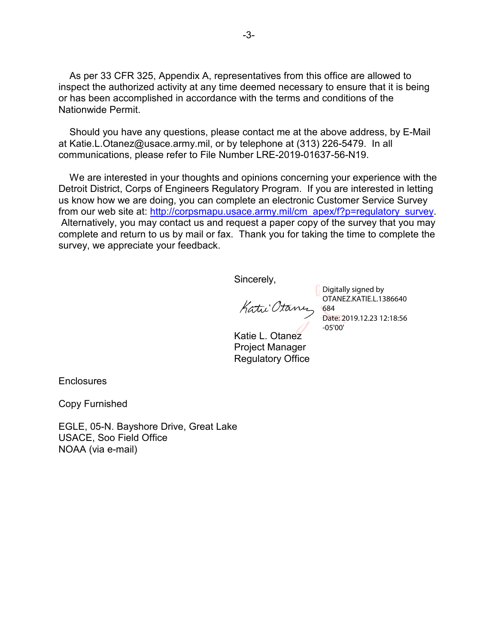As per 33 CFR 325, Appendix A, representatives from this office are allowed to inspect the authorized activity at any time deemed necessary to ensure that it is being or has been accomplished in accordance with the terms and conditions of the Nationwide Permit.

 Should you have any questions, please contact me at the above address, by E-Mail at Katie.L.Otanez@usace.army.mil, or by telephone at (313) 226-5479. In all communications, please refer to File Number LRE-2019-01637-56-N19.

 We are interested in your thoughts and opinions concerning your experience with the Detroit District, Corps of Engineers Regulatory Program. If you are interested in letting us know how we are doing, you can complete an electronic Customer Service Survey from our web site at: [http://corpsmapu.usace.army.mil/cm\\_apex/f?p=regulatory\\_survey.](http://corpsmapu.usace.army.mil/cm_apex/f?p=regulatory_survey) Alternatively, you may contact us and request a paper copy of the survey that you may complete and return to us by mail or fax. Thank you for taking the time to complete the survey, we appreciate your feedback.

Sincerely,

Katu Otanu

Digitally signed by OTANEZ.KATIE.L.1386640 684 Date: 2019.12.23 12:18:56 -05'00'

Katie L. Otanez Project Manager Regulatory Office

**Enclosures** 

Copy Furnished

EGLE, 05-N. Bayshore Drive, Great Lake USACE, Soo Field Office NOAA (via e-mail)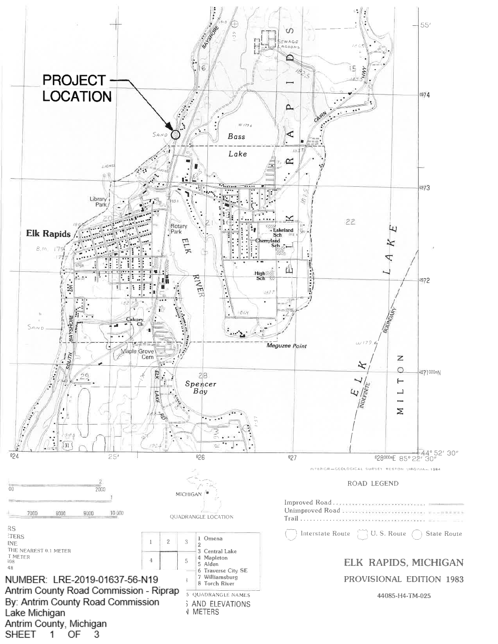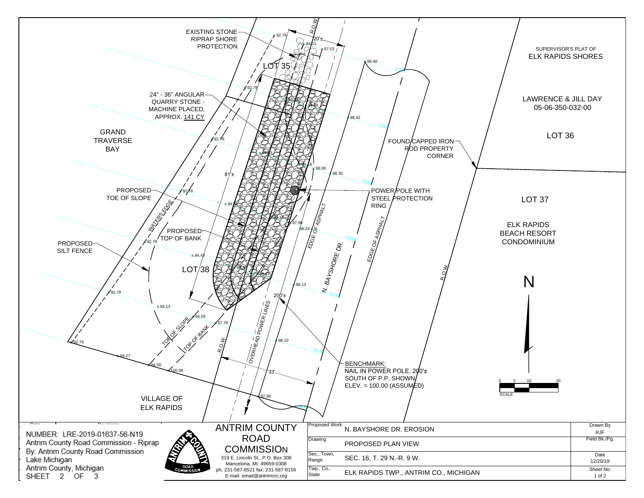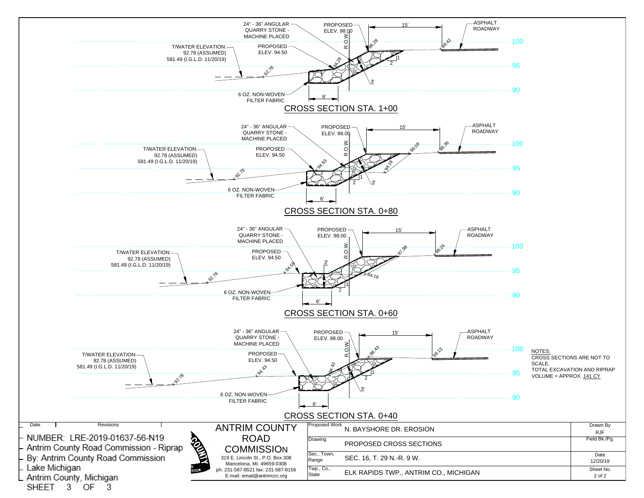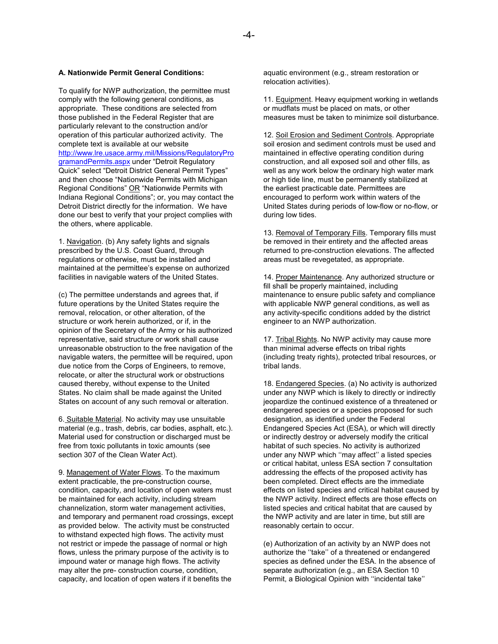#### **A. Nationwide Permit General Conditions:**

To qualify for NWP authorization, the permittee must comply with the following general conditions, as appropriate. These conditions are selected from those published in the Federal Register that are particularly relevant to the construction and/or operation of this particular authorized activity. The complete text is available at our website [http://www.lre.usace.army.mil/Missions/RegulatoryPro](http://www.lre.usace.army.mil/Missions/RegulatoryProgramandPermits.aspx) [gramandPermits.aspx](http://www.lre.usace.army.mil/Missions/RegulatoryProgramandPermits.aspx) under "Detroit Regulatory Quick" select "Detroit District General Permit Types" and then choose "Nationwide Permits with Michigan Regional Conditions" OR "Nationwide Permits with Indiana Regional Conditions"; or, you may contact the Detroit District directly for the information. We have done our best to verify that your project complies with the others, where applicable.

1. Navigation. (b) Any safety lights and signals prescribed by the U.S. Coast Guard, through regulations or otherwise, must be installed and maintained at the permittee's expense on authorized facilities in navigable waters of the United States.

(c) The permittee understands and agrees that, if future operations by the United States require the removal, relocation, or other alteration, of the structure or work herein authorized, or if, in the opinion of the Secretary of the Army or his authorized representative, said structure or work shall cause unreasonable obstruction to the free navigation of the navigable waters, the permittee will be required, upon due notice from the Corps of Engineers, to remove, relocate, or alter the structural work or obstructions caused thereby, without expense to the United States. No claim shall be made against the United States on account of any such removal or alteration.

6. Suitable Material. No activity may use unsuitable material (e.g., trash, debris, car bodies, asphalt, etc.). Material used for construction or discharged must be free from toxic pollutants in toxic amounts (see section 307 of the Clean Water Act).

9. Management of Water Flows. To the maximum extent practicable, the pre-construction course, condition, capacity, and location of open waters must be maintained for each activity, including stream channelization, storm water management activities, and temporary and permanent road crossings, except as provided below. The activity must be constructed to withstand expected high flows. The activity must not restrict or impede the passage of normal or high flows, unless the primary purpose of the activity is to impound water or manage high flows. The activity may alter the pre- construction course, condition, capacity, and location of open waters if it benefits the

aquatic environment (e.g., stream restoration or relocation activities).

11. Equipment. Heavy equipment working in wetlands or mudflats must be placed on mats, or other measures must be taken to minimize soil disturbance.

12. Soil Erosion and Sediment Controls. Appropriate soil erosion and sediment controls must be used and maintained in effective operating condition during construction, and all exposed soil and other fills, as well as any work below the ordinary high water mark or high tide line, must be permanently stabilized at the earliest practicable date. Permittees are encouraged to perform work within waters of the United States during periods of low-flow or no-flow, or during low tides.

13. Removal of Temporary Fills. Temporary fills must be removed in their entirety and the affected areas returned to pre-construction elevations. The affected areas must be revegetated, as appropriate.

14. Proper Maintenance. Any authorized structure or fill shall be properly maintained, including maintenance to ensure public safety and compliance with applicable NWP general conditions, as well as any activity-specific conditions added by the district engineer to an NWP authorization.

17. Tribal Rights. No NWP activity may cause more than minimal adverse effects on tribal rights (including treaty rights), protected tribal resources, or tribal lands.

18. Endangered Species. (a) No activity is authorized under any NWP which is likely to directly or indirectly jeopardize the continued existence of a threatened or endangered species or a species proposed for such designation, as identified under the Federal Endangered Species Act (ESA), or which will directly or indirectly destroy or adversely modify the critical habitat of such species. No activity is authorized under any NWP which ''may affect'' a listed species or critical habitat, unless ESA section 7 consultation addressing the effects of the proposed activity has been completed. Direct effects are the immediate effects on listed species and critical habitat caused by the NWP activity. Indirect effects are those effects on listed species and critical habitat that are caused by the NWP activity and are later in time, but still are reasonably certain to occur.

(e) Authorization of an activity by an NWP does not authorize the ''take'' of a threatened or endangered species as defined under the ESA. In the absence of separate authorization (e.g., an ESA Section 10 Permit, a Biological Opinion with ''incidental take''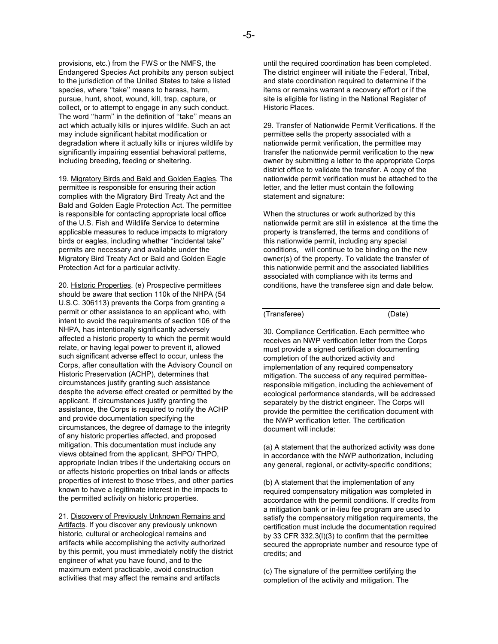provisions, etc.) from the FWS or the NMFS, the Endangered Species Act prohibits any person subject to the jurisdiction of the United States to take a listed species, where "take" means to harass, harm, pursue, hunt, shoot, wound, kill, trap, capture, or collect, or to attempt to engage in any such conduct. The word ''harm'' in the definition of ''take'' means an act which actually kills or injures wildlife. Such an act may include significant habitat modification or degradation where it actually kills or injures wildlife by significantly impairing essential behavioral patterns, including breeding, feeding or sheltering.

19. Migratory Birds and Bald and Golden Eagles. The permittee is responsible for ensuring their action complies with the Migratory Bird Treaty Act and the Bald and Golden Eagle Protection Act. The permittee is responsible for contacting appropriate local office of the U.S. Fish and Wildlife Service to determine applicable measures to reduce impacts to migratory birds or eagles, including whether ''incidental take'' permits are necessary and available under the Migratory Bird Treaty Act or Bald and Golden Eagle Protection Act for a particular activity.

20. Historic Properties. (e) Prospective permittees should be aware that section 110k of the NHPA (54 U.S.C. 306113) prevents the Corps from granting a permit or other assistance to an applicant who, with intent to avoid the requirements of section 106 of the NHPA, has intentionally significantly adversely affected a historic property to which the permit would relate, or having legal power to prevent it, allowed such significant adverse effect to occur, unless the Corps, after consultation with the Advisory Council on Historic Preservation (ACHP), determines that circumstances justify granting such assistance despite the adverse effect created or permitted by the applicant. If circumstances justify granting the assistance, the Corps is required to notify the ACHP and provide documentation specifying the circumstances, the degree of damage to the integrity of any historic properties affected, and proposed mitigation. This documentation must include any views obtained from the applicant, SHPO/ THPO, appropriate Indian tribes if the undertaking occurs on or affects historic properties on tribal lands or affects properties of interest to those tribes, and other parties known to have a legitimate interest in the impacts to the permitted activity on historic properties.

21. Discovery of Previously Unknown Remains and Artifacts. If you discover any previously unknown historic, cultural or archeological remains and artifacts while accomplishing the activity authorized by this permit, you must immediately notify the district engineer of what you have found, and to the maximum extent practicable, avoid construction activities that may affect the remains and artifacts

until the required coordination has been completed. The district engineer will initiate the Federal, Tribal, and state coordination required to determine if the items or remains warrant a recovery effort or if the site is eligible for listing in the National Register of Historic Places.

29. Transfer of Nationwide Permit Verifications. If the permittee sells the property associated with a nationwide permit verification, the permittee may transfer the nationwide permit verification to the new owner by submitting a letter to the appropriate Corps district office to validate the transfer. A copy of the nationwide permit verification must be attached to the letter, and the letter must contain the following statement and signature:

When the structures or work authorized by this nationwide permit are still in existence at the time the property is transferred, the terms and conditions of this nationwide permit, including any special conditions, will continue to be binding on the new owner(s) of the property. To validate the transfer of this nationwide permit and the associated liabilities associated with compliance with its terms and conditions, have the transferee sign and date below.

## (Transferee) (Date)

30. Compliance Certification. Each permittee who receives an NWP verification letter from the Corps must provide a signed certification documenting completion of the authorized activity and implementation of any required compensatory mitigation. The success of any required permitteeresponsible mitigation, including the achievement of ecological performance standards, will be addressed separately by the district engineer. The Corps will provide the permittee the certification document with the NWP verification letter. The certification document will include:

(a) A statement that the authorized activity was done in accordance with the NWP authorization, including any general, regional, or activity-specific conditions;

(b) A statement that the implementation of any required compensatory mitigation was completed in accordance with the permit conditions. If credits from a mitigation bank or in-lieu fee program are used to satisfy the compensatory mitigation requirements, the certification must include the documentation required by 33 CFR 332.3(l)(3) to confirm that the permittee secured the appropriate number and resource type of credits; and

(c) The signature of the permittee certifying the completion of the activity and mitigation. The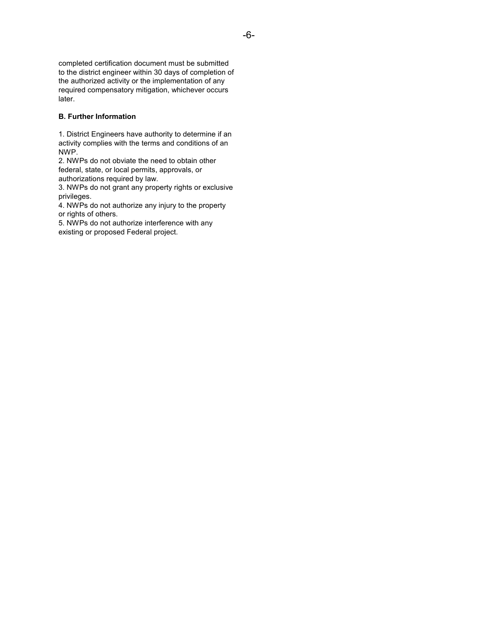completed certification document must be submitted to the district engineer within 30 days of completion of the authorized activity or the implementation of any required compensatory mitigation, whichever occurs later.

## **B. Further Information**

1. District Engineers have authority to determine if an activity complies with the terms and conditions of an NWP.

2. NWPs do not obviate the need to obtain other federal, state, or local permits, approvals, or authorizations required by law.

3. NWPs do not grant any property rights or exclusive privileges.

4. NWPs do not authorize any injury to the property or rights of others.

5. NWPs do not authorize interference with any existing or proposed Federal project.